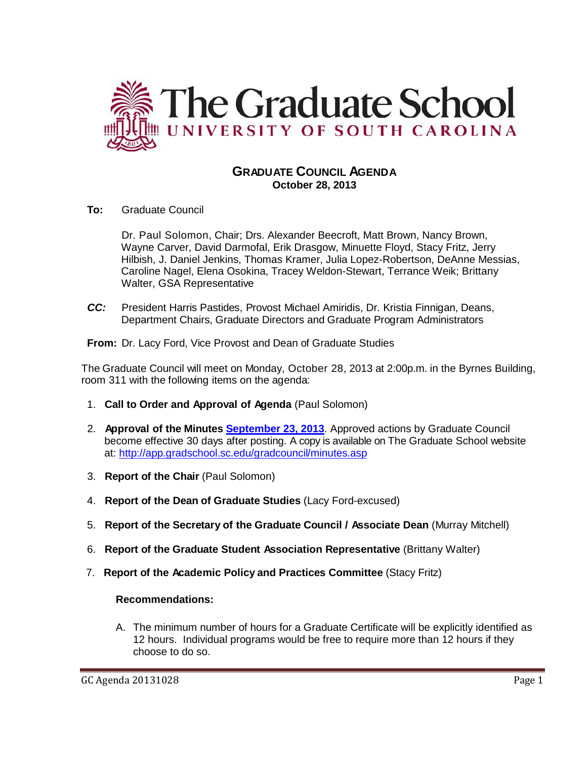

# **GRADUATE COUNCIL AGENDA October 28, 2013**

**To:** Graduate Council

Dr. Paul Solomon, Chair; Drs. Alexander Beecroft, Matt Brown, Nancy Brown, Wayne Carver, David Darmofal, Erik Drasgow, Minuette Floyd, Stacy Fritz, Jerry Hilbish, J. Daniel Jenkins, Thomas Kramer, Julia Lopez-Robertson, DeAnne Messias, Caroline Nagel, Elena Osokina, Tracey Weldon-Stewart, Terrance Weik; Brittany Walter, GSA Representative

*CC:* President Harris Pastides, Provost Michael Amiridis, Dr. Kristia Finnigan, Deans, Department Chairs, Graduate Directors and Graduate Program Administrators

**From:** Dr. Lacy Ford, Vice Provost and Dean of Graduate Studies

The Graduate Council will meet on Monday, October 28, 2013 at 2:00p.m. in the Byrnes Building, room 311 with the following items on the agenda:

- 1. **Call to Order and Approval of Agenda** (Paul Solomon)
- 2. **Approval of the Minutes [September 23, 2013](http://gradschool.sc.edu/facstaff/gradcouncil/2013/GCMinutes%209%2023%2013%20Final%20mm.pdf)**. Approved actions by Graduate Council become effective 30 days after posting. A copy is available on The Graduate School website at:<http://app.gradschool.sc.edu/gradcouncil/minutes.asp>
- 3. **Report of the Chair** (Paul Solomon)
- 4. **Report of the Dean of Graduate Studies** (Lacy Ford-excused)
- 5. **Report of the Secretary of the Graduate Council / Associate Dean** (Murray Mitchell)
- 6. **Report of the Graduate Student Association Representative** (Brittany Walter)
- 7. **Report of the Academic Policy and Practices Committee** (Stacy Fritz)

### **Recommendations:**

A. The minimum number of hours for a Graduate Certificate will be explicitly identified as 12 hours. Individual programs would be free to require more than 12 hours if they choose to do so.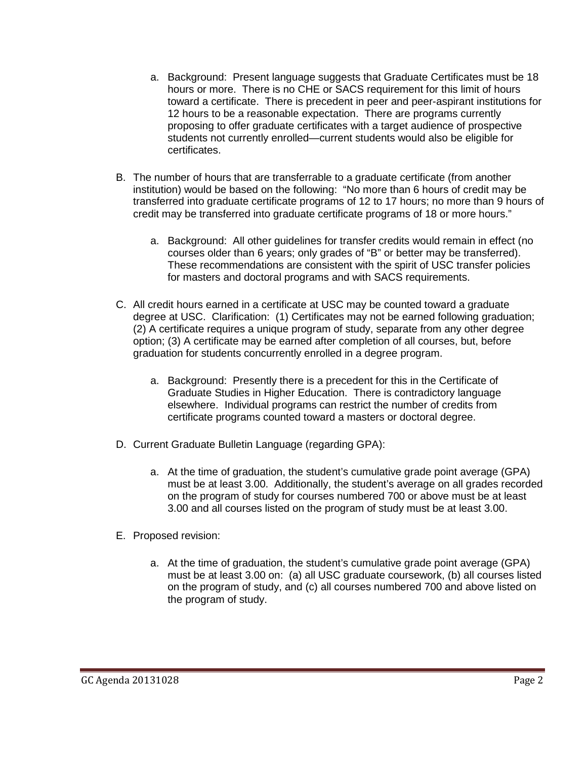- a. Background: Present language suggests that Graduate Certificates must be 18 hours or more. There is no CHE or SACS requirement for this limit of hours toward a certificate. There is precedent in peer and peer-aspirant institutions for 12 hours to be a reasonable expectation. There are programs currently proposing to offer graduate certificates with a target audience of prospective students not currently enrolled—current students would also be eligible for certificates.
- B. The number of hours that are transferrable to a graduate certificate (from another institution) would be based on the following: "No more than 6 hours of credit may be transferred into graduate certificate programs of 12 to 17 hours; no more than 9 hours of credit may be transferred into graduate certificate programs of 18 or more hours."
	- a. Background: All other guidelines for transfer credits would remain in effect (no courses older than 6 years; only grades of "B" or better may be transferred). These recommendations are consistent with the spirit of USC transfer policies for masters and doctoral programs and with SACS requirements.
- C. All credit hours earned in a certificate at USC may be counted toward a graduate degree at USC. Clarification: (1) Certificates may not be earned following graduation; (2) A certificate requires a unique program of study, separate from any other degree option; (3) A certificate may be earned after completion of all courses, but, before graduation for students concurrently enrolled in a degree program.
	- a. Background: Presently there is a precedent for this in the Certificate of Graduate Studies in Higher Education. There is contradictory language elsewhere. Individual programs can restrict the number of credits from certificate programs counted toward a masters or doctoral degree.
- D. Current Graduate Bulletin Language (regarding GPA):
	- a. At the time of graduation, the student's cumulative grade point average (GPA) must be at least 3.00. Additionally, the student's average on all grades recorded on the program of study for courses numbered 700 or above must be at least 3.00 and all courses listed on the program of study must be at least 3.00.
- E. Proposed revision:
	- a. At the time of graduation, the student's cumulative grade point average (GPA) must be at least 3.00 on: (a) all USC graduate coursework, (b) all courses listed on the program of study, and (c) all courses numbered 700 and above listed on the program of study.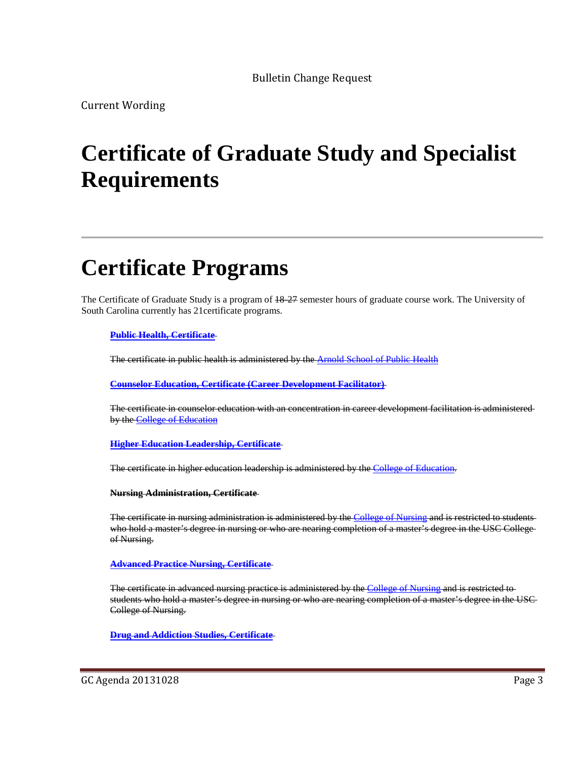Bulletin Change Request

Current Wording

# **Certificate of Graduate Study and Specialist Requirements**

# **Certificate Programs**

The Certificate of Graduate Study is a program of  $18-27$  semester hours of graduate course work. The University of South Carolina currently has 21certificate programs.

#### **[Public Health, Certificate](http://bulletin.sc.edu/preview_program.php?catoid=62&poid=5731)**

The certificate in public health is administered by the **Arnold School of Public Health** 

**[Counselor Education, Certificate \(Career Development Facilitator\)](http://bulletin.sc.edu/preview_program.php?catoid=62&poid=5453)**

The certificate in counselor education with an concentration in career development facilitation is administered by the [College of Education](http://bulletin.sc.edu/preview_entity.php?catoid=62&ent_oid=1856)

**[Higher Education Leadership, Certificate](http://bulletin.sc.edu/preview_program.php?catoid=62&poid=5570)**

The certificate in higher education leadership is administered by the [College of Education.](http://bulletin.sc.edu/preview_entity.php?catoid=62&ent_oid=1856)

**Nursing Administration, Certificate** 

The certificate in nursing administration is administered by the [College of Nursing](http://bulletin.sc.edu/preview_entity.php?catoid=62&ent_oid=1889) and is restricted to studentswho hold a master's degree in nursing or who are nearing completion of a master's degree in the USC College of Nursing.

**[Advanced Practice Nursing, Certificate](http://bulletin.sc.edu/preview_program.php?catoid=62&poid=5345)**

The certificate in advanced nursing practice is administered by the [College of Nursing](http://bulletin.sc.edu/preview_entity.php?catoid=62&ent_oid=1889) and is restricted to students who hold a master's degree in nursing or who are nearing completion of a master's degree in the USC College of Nursing.

**Drug [and Addiction Studies, Certificate](http://bulletin.sc.edu/preview_program.php?catoid=62&poid=5466)**

GC Agenda 20131028 Page 3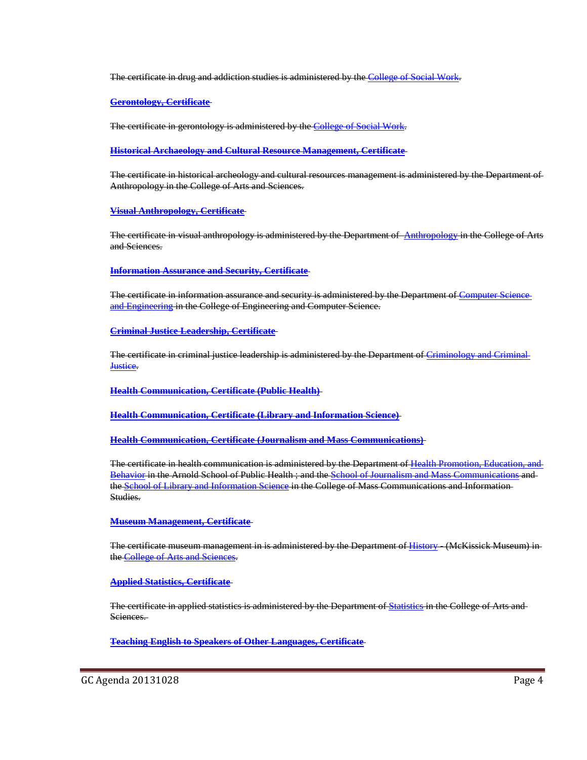The certificate in drug and addiction studies is administered by the [College of Social Work.](http://bulletin.sc.edu/preview_entity.php?catoid=62&ent_oid=1900)

**[Gerontology, Certificate](http://bulletin.sc.edu/preview_program.php?catoid=62&poid=5554)**

The certificate in gerontology is administered by the [College of Social Work.](http://bulletin.sc.edu/preview_entity.php?catoid=62&ent_oid=1900)

**[Historical Archaeology and Cultural Resource Management, Certificate](http://bulletin.sc.edu/preview_program.php?catoid=62&poid=5571)**

The certificate in historical archeology and cultural resources management is administered by the Department of Anthropology in the College of Arts and Sciences.

**[Visual Anthropology, Certificate](http://bulletin.sc.edu/preview_program.php?catoid=62&poid=5794)**

The certificate in visual anthropology is administered by the Department of [Anthropology](http://bulletin.sc.edu/preview_entity.php?catoid=62&ent_oid=1830) in the College of Arts and Sciences.

**[Information Assurance and Security, Certificate](http://bulletin.sc.edu/preview_program.php?catoid=62&poid=5583)**

The certificate in information assurance and security is administered by the Department of [Computer Science](http://bulletin.sc.edu/preview_entity.php?catoid=62&ent_oid=1866)  [and Engineering](http://bulletin.sc.edu/preview_entity.php?catoid=62&ent_oid=1866) in the College of Engineering and Computer Science.

**[Criminal Justice Leadership, Certificate](http://bulletin.sc.edu/preview_program.php?catoid=62&poid=5457)**

The certificate in criminal justice leadership is administered by the Department of [Criminology and Criminal](http://bulletin.sc.edu/preview_entity.php?catoid=62&ent_oid=1834)  **[Justice.](http://bulletin.sc.edu/preview_entity.php?catoid=62&ent_oid=1834)** 

**[Health Communication, Certificate \(Public Health\)](http://bulletin.sc.edu/preview_program.php?catoid=62&poid=5557)**

**[Health Communication, Certificate \(Library and Information Science\)](http://bulletin.sc.edu/preview_program.php?catoid=62&poid=5556)**

**[Health Communication, Certificate \(Journalism and Mass Communications\)](http://bulletin.sc.edu/preview_program.php?catoid=62&poid=5555)**

The certificate in health communication is administered by the Department of [Health Promotion, Education, and](http://bulletin.sc.edu/preview_entity.php?catoid=62&ent_oid=1897)  [Behavior](http://bulletin.sc.edu/preview_entity.php?catoid=62&ent_oid=1897) in the Arnold School of Public Health ; and the [School of Journalism and Mass Communications](http://bulletin.sc.edu/preview_entity.php?catoid=62&ent_oid=1876) and th[e School of Library and Information Science](http://bulletin.sc.edu/preview_entity.php?catoid=62&ent_oid=1877) in the College of Mass Communications and Information-Studies.

**[Museum Management, Certificate](http://bulletin.sc.edu/preview_program.php?catoid=62&poid=5656)**

The certificate museum management in is administered by the Department of [History](http://bulletin.sc.edu/preview_entity.php?catoid=62&ent_oid=1840) - (McKissick Museum) in the College of Arts and Sciences

**[Applied Statistics, Certificate](http://bulletin.sc.edu/preview_program.php?catoid=62&poid=5356)**

The certificate in applied statistics is administered by the Department o[f Statistics](http://bulletin.sc.edu/preview_entity.php?catoid=62&ent_oid=1851) in the College of Arts and Sciences.

**[Teaching English to Speakers of Other Languages, Certificate](http://bulletin.sc.edu/preview_program.php?catoid=62&poid=5784)**

GC Agenda 20131028 Page 4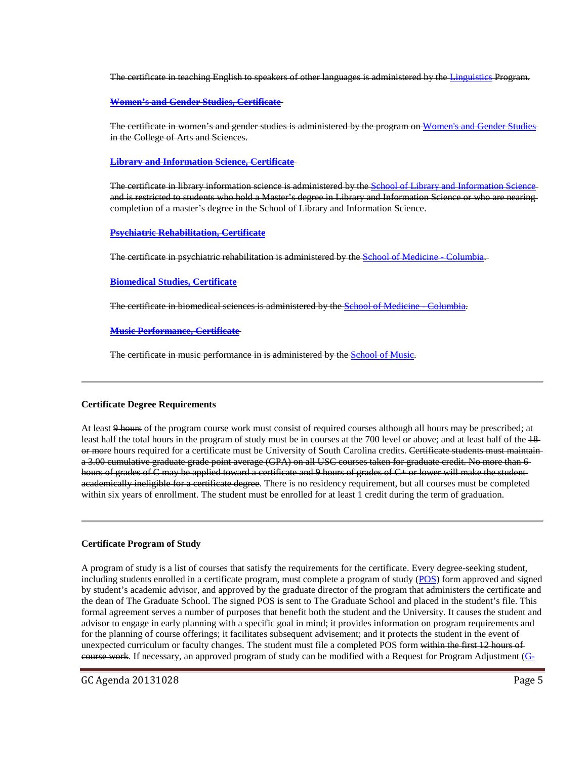The certificate in teaching English to speakers of other languages is administered by the [Linguistics](http://bulletin.sc.edu/preview_entity.php?catoid=62&ent_oid=1842) Program.

**[Women's and Gender Studies, Certificate](http://bulletin.sc.edu/preview_program.php?catoid=62&poid=5798)**

The certificate in women's and gender studies is administered by the program on [Women's and Gender Studies](http://bulletin.sc.edu/preview_entity.php?catoid=62&ent_oid=1853) in the College of Arts and Sciences.

**[Library and Information Science, Certificate](http://bulletin.sc.edu/preview_program.php?catoid=62&poid=5622)**

The certificate in library information science is administered by the [School of Library and Information Science](http://bulletin.sc.edu/preview_entity.php?catoid=62&ent_oid=1877) and is restricted to students who hold a Master's degree in Library and Information Science or who are nearing completion of a master's degree in the School of Library and Information Science.

#### **[Psychiatric Rehabilitation, Certificate](http://bulletin.sc.edu/preview_program.php?catoid=62&poid=5723)**

The certificate in psychiatric rehabilitation is administered by the [School of Medicine -](http://bulletin.sc.edu/preview_entity.php?catoid=62&ent_oid=1878) Columbia.

#### **[Biomedical Studies, Certificate](http://bulletin.sc.edu/preview_program.php?catoid=62&poid=5402)**

The certificate in biomedical sciences is administered by the [School of Medicine -](http://bulletin.sc.edu/preview_entity.php?catoid=62&ent_oid=1878) Columbia.

#### **[Music Performance, Certificate](http://bulletin.sc.edu/preview_program.php?catoid=62&poid=5667)**

The certificate in music performance in is administered by the [School of Music.](http://bulletin.sc.edu/preview_entity.php?catoid=62&ent_oid=1879)

#### **Certificate Degree Requirements**

At least 9 hours of the program course work must consist of required courses although all hours may be prescribed; at least half the total hours in the program of study must be in courses at the 700 level or above; and at least half of the  $18$ or more hours required for a certificate must be University of South Carolina credits. Certificate students must maintaina 3.00 cumulative graduate grade point average (GPA) on all USC courses taken for graduate credit. No more than 6 hours of grades of C may be applied toward a certificate and 9 hours of grades of C+ or lower will make the studentacademically ineligible for a certificate degree. There is no residency requirement, but all courses must be completed within six years of enrollment. The student must be enrolled for at least 1 credit during the term of graduation.

#### **Certificate Program of Study**

A program of study is a list of courses that satisfy the requirements for the certificate. Every degree-seeking student, including students enrolled in a certificate program, must complete a program of study [\(POS\)](http://gradschool.sc.edu/DocLibrary/documents/mastersprogramofstudy.pdf) form approved and signed by student's academic advisor, and approved by the graduate director of the program that administers the certificate and the dean of The Graduate School. The signed POS is sent to The Graduate School and placed in the student's file. This formal agreement serves a number of purposes that benefit both the student and the University. It causes the student and advisor to engage in early planning with a specific goal in mind; it provides information on program requirements and for the planning of course offerings; it facilitates subsequent advisement; and it protects the student in the event of unexpected curriculum or faculty changes. The student must file a completed POS form within the first 12 hours of course work. If necessary, an approved program of study can be modified with a Request for Program Adjustment [\(G-](http://gradschool.sc.edu/DocLibrary/documents/programadjustmentform.pdf)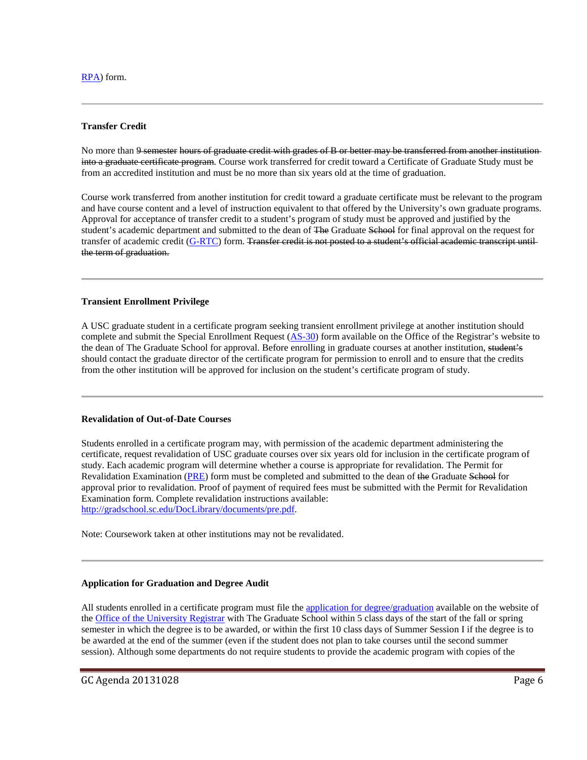[RPA\)](http://gradschool.sc.edu/DocLibrary/documents/programadjustmentform.pdf) form.

#### **Transfer Credit**

No more than 9 semester hours of graduate credit with grades of B or better may be transferred from another institution into a graduate certificate program. Course work transferred for credit toward a Certificate of Graduate Study must be from an accredited institution and must be no more than six years old at the time of graduation.

Course work transferred from another institution for credit toward a graduate certificate must be relevant to the program and have course content and a level of instruction equivalent to that offered by the University's own graduate programs. Approval for acceptance of transfer credit to a student's program of study must be approved and justified by the student's academic department and submitted to the dean of The Graduate School for final approval on the request for transfer of academic credit [\(G-RTC\)](http://gradschool.sc.edu/DocLibrary/documents/G-RTC.pdf) form. Transfer credit is not posted to a student's official academic transcript until the term of graduation.

#### **Transient Enrollment Privilege**

A USC graduate student in a certificate program seeking transient enrollment privilege at another institution should complete and submit the Special Enrollment Request [\(AS-30\)](http://registrar.sc.edu/pdf/AS-30e.pdf) form available on the Office of the Registrar's website to the dean of The Graduate School for approval. Before enrolling in graduate courses at another institution, student's should contact the graduate director of the certificate program for permission to enroll and to ensure that the credits from the other institution will be approved for inclusion on the student's certificate program of study.

#### **Revalidation of Out-of-Date Courses**

Students enrolled in a certificate program may, with permission of the academic department administering the certificate, request revalidation of USC graduate courses over six years old for inclusion in the certificate program of study. Each academic program will determine whether a course is appropriate for revalidation. The Permit for Revalidation Examination [\(PRE\)](http://gradschool.sc.edu/DocLibrary/documents/pre.pdf) form must be completed and submitted to the dean of the Graduate School for approval prior to revalidation. Proof of payment of required fees must be submitted with the Permit for Revalidation Examination form. Complete revalidation instructions available: [http://gradschool.sc.edu/DocLibrary/documents/pre.pdf.](http://gradschool.sc.edu/DocLibrary/documents/pre.pdf)

Note: Coursework taken at other institutions may not be revalidated.

#### **Application for Graduation and Degree Audit**

All students enrolled in a certificate program must file the [application for degree/graduation](http://registrar.sc.edu/pdf/DegreeApp.pdf) available on the website of th[e Office of the University Registrar](http://registrar.sc.edu/) with The Graduate School within 5 class days of the start of the fall or spring semester in which the degree is to be awarded, or within the first 10 class days of Summer Session I if the degree is to be awarded at the end of the summer (even if the student does not plan to take courses until the second summer session). Although some departments do not require students to provide the academic program with copies of the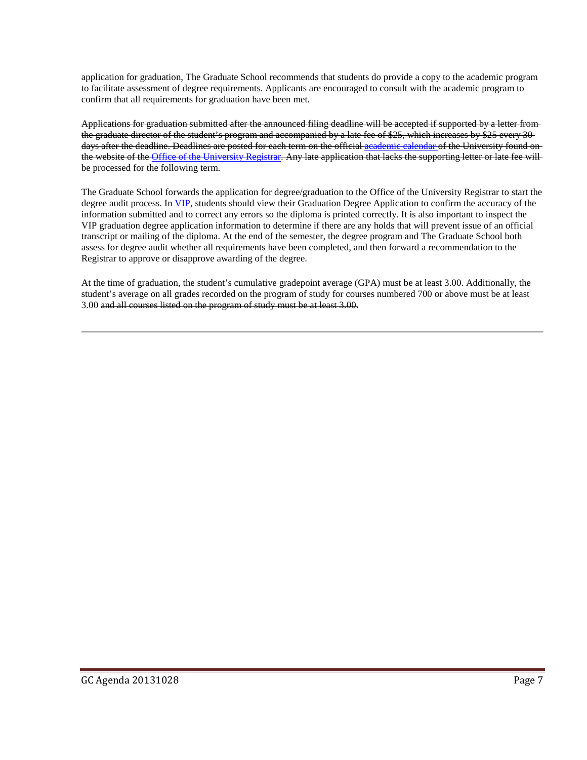application for graduation, The Graduate School recommends that students do provide a copy to the academic program to facilitate assessment of degree requirements. Applicants are encouraged to consult with the academic program to confirm that all requirements for graduation have been met.

Applications for graduation submitted after the announced filing deadline will be accepted if supported by a letter from the graduate director of the student's program and accompanied by a late fee of \$25, which increases by \$25 every 30 days after the deadline. Deadlines are posted for each term on the official [academic calendar o](http://registrar.sc.edu/html/calendar5yr/5YrCalendar3.stm)f the University found on the website of the [Office of the University Registrar.](http://registrar.sc.edu/) Any late application that lacks the supporting letter or late fee will be processed for the following term.

The Graduate School forwards the application for degree/graduation to the Office of the University Registrar to start the degree audit process. In [VIP,](https://vip.sc.edu/) students should view their Graduation Degree Application to confirm the accuracy of the information submitted and to correct any errors so the diploma is printed correctly. It is also important to inspect the VIP graduation degree application information to determine if there are any holds that will prevent issue of an official transcript or mailing of the diploma. At the end of the semester, the degree program and The Graduate School both assess for degree audit whether all requirements have been completed, and then forward a recommendation to the Registrar to approve or disapprove awarding of the degree.

At the time of graduation, the student's cumulative gradepoint average (GPA) must be at least 3.00. Additionally, the student's average on all grades recorded on the program of study for courses numbered 700 or above must be at least 3.00 and all courses listed on the program of study must be at least 3.00.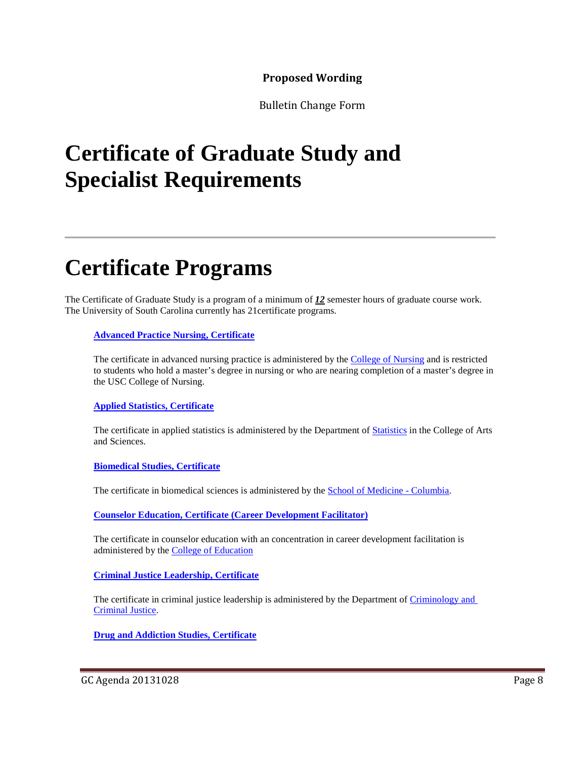## **Proposed Wording**

Bulletin Change Form

# **Certificate of Graduate Study and Specialist Requirements**

# **Certificate Programs**

The Certificate of Graduate Study is a program of a minimum of *12* semester hours of graduate course work. The University of South Carolina currently has 21certificate programs.

### **[Advanced Practice Nursing, Certificate](http://bulletin.sc.edu/preview_program.php?catoid=62&poid=5345)**

The certificate in advanced nursing practice is administered by the [College of Nursing](http://bulletin.sc.edu/preview_entity.php?catoid=62&ent_oid=1889) and is restricted to students who hold a master's degree in nursing or who are nearing completion of a master's degree in the USC College of Nursing.

### **[Applied Statistics, Certificate](http://bulletin.sc.edu/preview_program.php?catoid=62&poid=5356)**

The certificate in applied statistics is administered by the Department of [Statistics](http://bulletin.sc.edu/preview_entity.php?catoid=62&ent_oid=1851) in the College of Arts and Sciences.

### **[Biomedical Studies, Certificate](http://bulletin.sc.edu/preview_program.php?catoid=62&poid=5402)**

The certificate in biomedical sciences is administered by the **School of Medicine - Columbia**.

**[Counselor Education, Certificate \(Career Development Facilitator\)](http://bulletin.sc.edu/preview_program.php?catoid=62&poid=5453)**

The certificate in counselor education with an concentration in career development facilitation is administered by the [College of Education](http://bulletin.sc.edu/preview_entity.php?catoid=62&ent_oid=1856)

**[Criminal Justice Leadership, Certificate](http://bulletin.sc.edu/preview_program.php?catoid=62&poid=5457)**

The certificate in criminal justice leadership is administered by the Department of Criminology and [Criminal Justice.](http://bulletin.sc.edu/preview_entity.php?catoid=62&ent_oid=1834)

**[Drug and Addiction Studies, Certificate](http://bulletin.sc.edu/preview_program.php?catoid=62&poid=5466)**

GC Agenda 20131028 Page 8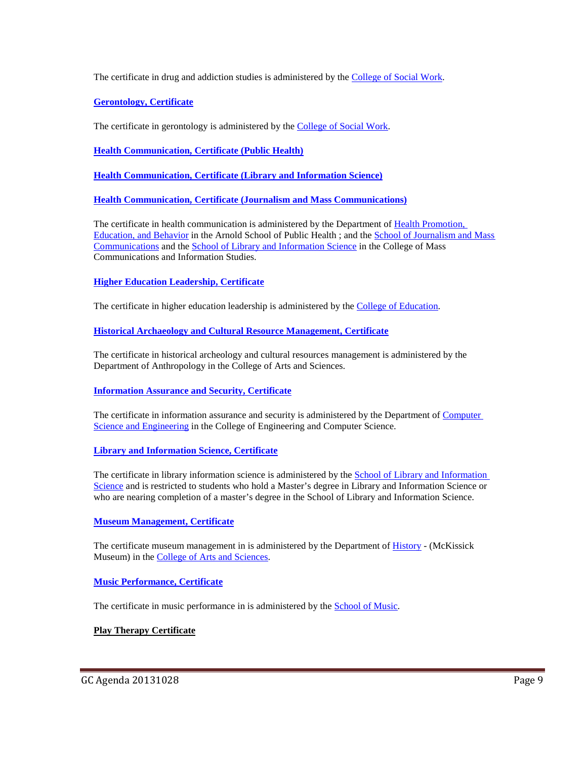The certificate in drug and addiction studies is administered by the [College of Social Work.](http://bulletin.sc.edu/preview_entity.php?catoid=62&ent_oid=1900)

**[Gerontology, Certificate](http://bulletin.sc.edu/preview_program.php?catoid=62&poid=5554)**

The certificate in gerontology is administered by the [College of Social Work.](http://bulletin.sc.edu/preview_entity.php?catoid=62&ent_oid=1900)

**[Health Communication, Certificate \(Public Health\)](http://bulletin.sc.edu/preview_program.php?catoid=62&poid=5557)**

**[Health Communication, Certificate \(Library and Information Science\)](http://bulletin.sc.edu/preview_program.php?catoid=62&poid=5556)**

**[Health Communication, Certificate \(Journalism and Mass Communications\)](http://bulletin.sc.edu/preview_program.php?catoid=62&poid=5555)**

The certificate in health communication is administered by the Department of [Health Promotion,](http://bulletin.sc.edu/preview_entity.php?catoid=62&ent_oid=1897)  [Education, and Behavior](http://bulletin.sc.edu/preview_entity.php?catoid=62&ent_oid=1897) in the Arnold School of Public Health ; and the [School of Journalism and Mass](http://bulletin.sc.edu/preview_entity.php?catoid=62&ent_oid=1876)  [Communications](http://bulletin.sc.edu/preview_entity.php?catoid=62&ent_oid=1876) and the [School of Library and Information Science](http://bulletin.sc.edu/preview_entity.php?catoid=62&ent_oid=1877) in the College of Mass Communications and Information Studies.

### **[Higher Education Leadership, Certificate](http://bulletin.sc.edu/preview_program.php?catoid=62&poid=5570)**

The certificate in higher education leadership is administered by the [College of Education.](http://bulletin.sc.edu/preview_entity.php?catoid=62&ent_oid=1856)

**[Historical Archaeology and Cultural Resource Management, Certificate](http://bulletin.sc.edu/preview_program.php?catoid=62&poid=5571)**

The certificate in historical archeology and cultural resources management is administered by the Department of Anthropology in the College of Arts and Sciences.

#### **[Information Assurance and Security, Certificate](http://bulletin.sc.edu/preview_program.php?catoid=62&poid=5583)**

The certificate in information assurance and security is administered by the Department of [Computer](http://bulletin.sc.edu/preview_entity.php?catoid=62&ent_oid=1866)  [Science and Engineering](http://bulletin.sc.edu/preview_entity.php?catoid=62&ent_oid=1866) in the College of Engineering and Computer Science.

#### **[Library and Information Science, Certificate](http://bulletin.sc.edu/preview_program.php?catoid=62&poid=5622)**

The certificate in library information science is administered by the School of Library and Information [Science](http://bulletin.sc.edu/preview_entity.php?catoid=62&ent_oid=1877) and is restricted to students who hold a Master's degree in Library and Information Science or who are nearing completion of a master's degree in the School of Library and Information Science.

#### **[Museum Management, Certificate](http://bulletin.sc.edu/preview_program.php?catoid=62&poid=5656)**

The certificate museum management in is administered by the Department of **History** - (McKissick Museum) in th[e College of Arts and Sciences.](http://bulletin.sc.edu/preview_entity.php?catoid=62&ent_oid=1828)

#### **[Music Performance, Certificate](http://bulletin.sc.edu/preview_program.php?catoid=62&poid=5667)**

The certificate in music performance in is administered by the **School of Music**.

### **Play Therapy Certificate**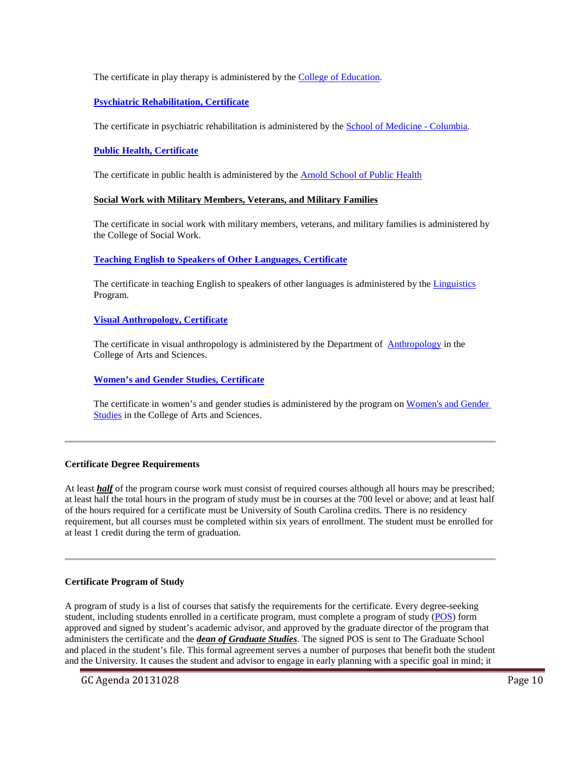#### The certificate in play therapy is administered by the **College of Education**.

### **[Psychiatric Rehabilitation, Certificate](http://bulletin.sc.edu/preview_program.php?catoid=62&poid=5723)**

The certificate in psychiatric rehabilitation is administered by the [School of Medicine -](http://bulletin.sc.edu/preview_entity.php?catoid=62&ent_oid=1878) Columbia.

#### **[Public Health, Certificate](http://bulletin.sc.edu/preview_program.php?catoid=62&poid=5731)**

The certificate in public health is administered by th[e Arnold School of Public Health](http://bulletin.sc.edu/preview_entity.php?catoid=62&ent_oid=1892)

#### **Social Work with Military Members, Veterans, and Military Families**

The certificate in social work with military members, veterans, and military families is administered by the College of Social Work.

#### **[Teaching English to Speakers of Other Languages, Certificate](http://bulletin.sc.edu/preview_program.php?catoid=62&poid=5784)**

The certificate in teaching English to speakers of other languages is administered by the [Linguistics](http://bulletin.sc.edu/preview_entity.php?catoid=62&ent_oid=1842) Program.

#### **[Visual Anthropology, Certificate](http://bulletin.sc.edu/preview_program.php?catoid=62&poid=5794)**

The certificate in visual anthropology is administered by the Department of [Anthropology](http://bulletin.sc.edu/preview_entity.php?catoid=62&ent_oid=1830) in the College of Arts and Sciences.

**[Women's and Gender Studies, Certificate](http://bulletin.sc.edu/preview_program.php?catoid=62&poid=5798)**

The certificate in women's and gender studies is administered by the program on [Women's and Gender](http://bulletin.sc.edu/preview_entity.php?catoid=62&ent_oid=1853)  [Studies](http://bulletin.sc.edu/preview_entity.php?catoid=62&ent_oid=1853) in the College of Arts and Sciences.

#### **Certificate Degree Requirements**

At least *half* of the program course work must consist of required courses although all hours may be prescribed; at least half the total hours in the program of study must be in courses at the 700 level or above; and at least half of the hours required for a certificate must be University of South Carolina credits. There is no residency requirement, but all courses must be completed within six years of enrollment. The student must be enrolled for at least 1 credit during the term of graduation.

#### **Certificate Program of Study**

A program of study is a list of courses that satisfy the requirements for the certificate. Every degree-seeking student, including students enrolled in a certificate program, must complete a program of study [\(POS\)](http://gradschool.sc.edu/DocLibrary/documents/mastersprogramofstudy.pdf) form approved and signed by student's academic advisor, and approved by the graduate director of the program that administers the certificate and the *dean of Graduate Studies*. The signed POS is sent to The Graduate School and placed in the student's file. This formal agreement serves a number of purposes that benefit both the student and the University. It causes the student and advisor to engage in early planning with a specific goal in mind; it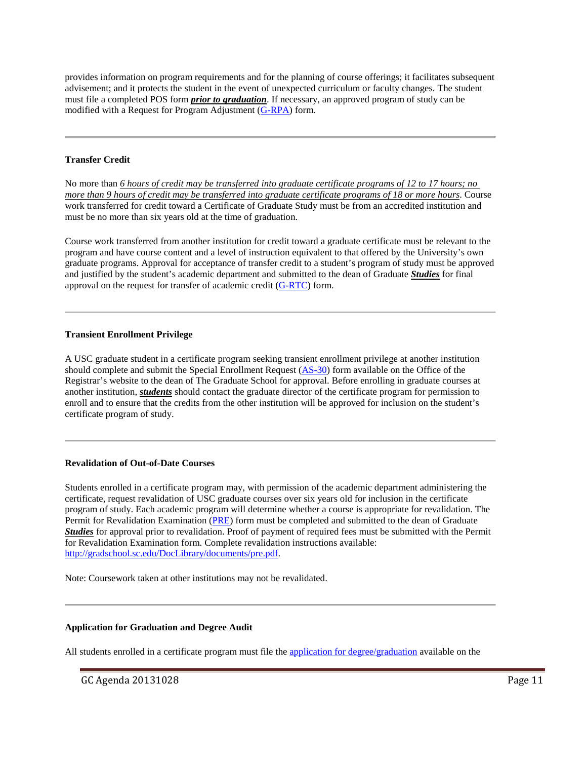provides information on program requirements and for the planning of course offerings; it facilitates subsequent advisement; and it protects the student in the event of unexpected curriculum or faculty changes. The student must file a completed POS form *prior to graduation*. If necessary, an approved program of study can be modified with a Request for Program Adjustment [\(G-RPA\)](http://gradschool.sc.edu/DocLibrary/documents/programadjustmentform.pdf) form.

#### **Transfer Credit**

No more than *6 hours of credit may be transferred into graduate certificate programs of 12 to 17 hours; no more than 9 hours of credit may be transferred into graduate certificate programs of 18 or more hours*. Course work transferred for credit toward a Certificate of Graduate Study must be from an accredited institution and must be no more than six years old at the time of graduation.

Course work transferred from another institution for credit toward a graduate certificate must be relevant to the program and have course content and a level of instruction equivalent to that offered by the University's own graduate programs. Approval for acceptance of transfer credit to a student's program of study must be approved and justified by the student's academic department and submitted to the dean of Graduate *Studies* for final approval on the request for transfer of academic credit [\(G-RTC\)](http://gradschool.sc.edu/DocLibrary/documents/G-RTC.pdf) form.

#### **Transient Enrollment Privilege**

A USC graduate student in a certificate program seeking transient enrollment privilege at another institution should complete and submit the Special Enrollment Request [\(AS-30\)](http://registrar.sc.edu/pdf/AS-30e.pdf) form available on the Office of the Registrar's website to the dean of The Graduate School for approval. Before enrolling in graduate courses at another institution, *students* should contact the graduate director of the certificate program for permission to enroll and to ensure that the credits from the other institution will be approved for inclusion on the student's certificate program of study.

#### **Revalidation of Out-of-Date Courses**

Students enrolled in a certificate program may, with permission of the academic department administering the certificate, request revalidation of USC graduate courses over six years old for inclusion in the certificate program of study. Each academic program will determine whether a course is appropriate for revalidation. The Permit for Revalidation Examination [\(PRE\)](http://gradschool.sc.edu/DocLibrary/documents/pre.pdf) form must be completed and submitted to the dean of Graduate *Studies* for approval prior to revalidation. Proof of payment of required fees must be submitted with the Permit for Revalidation Examination form. Complete revalidation instructions available: [http://gradschool.sc.edu/DocLibrary/documents/pre.pdf.](http://gradschool.sc.edu/DocLibrary/documents/pre.pdf)

Note: Coursework taken at other institutions may not be revalidated.

#### **Application for Graduation and Degree Audit**

All students enrolled in a certificate program must file the [application for degree/graduation](http://registrar.sc.edu/pdf/DegreeApp.pdf) available on the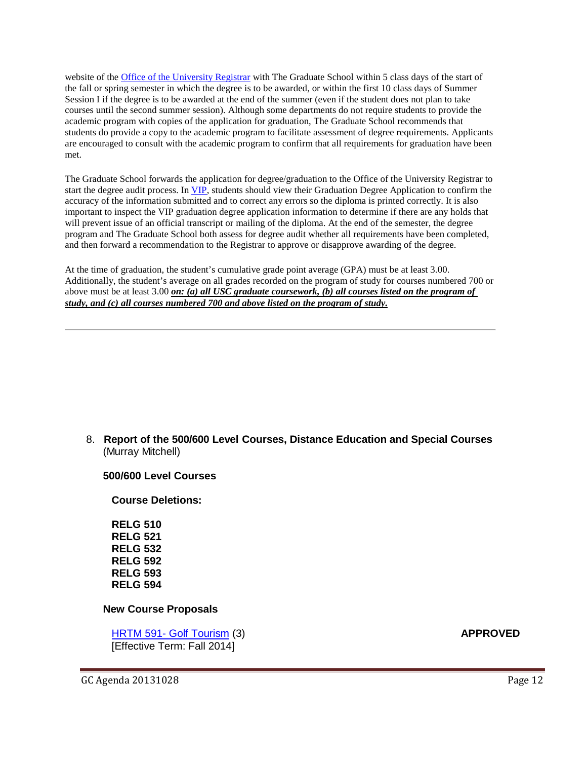website of the [Office of the University Registrar](http://registrar.sc.edu/) with The Graduate School within 5 class days of the start of the fall or spring semester in which the degree is to be awarded, or within the first 10 class days of Summer Session I if the degree is to be awarded at the end of the summer (even if the student does not plan to take courses until the second summer session). Although some departments do not require students to provide the academic program with copies of the application for graduation, The Graduate School recommends that students do provide a copy to the academic program to facilitate assessment of degree requirements. Applicants are encouraged to consult with the academic program to confirm that all requirements for graduation have been met.

The Graduate School forwards the application for degree/graduation to the Office of the University Registrar to start the degree audit process. I[n VIP,](https://vip.sc.edu/) students should view their Graduation Degree Application to confirm the accuracy of the information submitted and to correct any errors so the diploma is printed correctly. It is also important to inspect the VIP graduation degree application information to determine if there are any holds that will prevent issue of an official transcript or mailing of the diploma. At the end of the semester, the degree program and The Graduate School both assess for degree audit whether all requirements have been completed, and then forward a recommendation to the Registrar to approve or disapprove awarding of the degree.

At the time of graduation, the student's cumulative grade point average (GPA) must be at least 3.00. Additionally, the student's average on all grades recorded on the program of study for courses numbered 700 or above must be at least 3.00 *on: (a) all USC graduate coursework, (b) all courses listed on the program of study, and (c) all courses numbered 700 and above listed on the program of study.*

8. **Report of the 500/600 Level Courses, Distance Education and Special Courses** (Murray Mitchell)

#### **500/600 Level Courses**

**Course Deletions:**

**RELG 510 RELG 521 RELG 532 RELG 592 RELG 593 RELG 594**

#### **New Course Proposals**

HRTM 591- Golf Tourism (3) **APPROVED** [Effective Term: Fall 2014]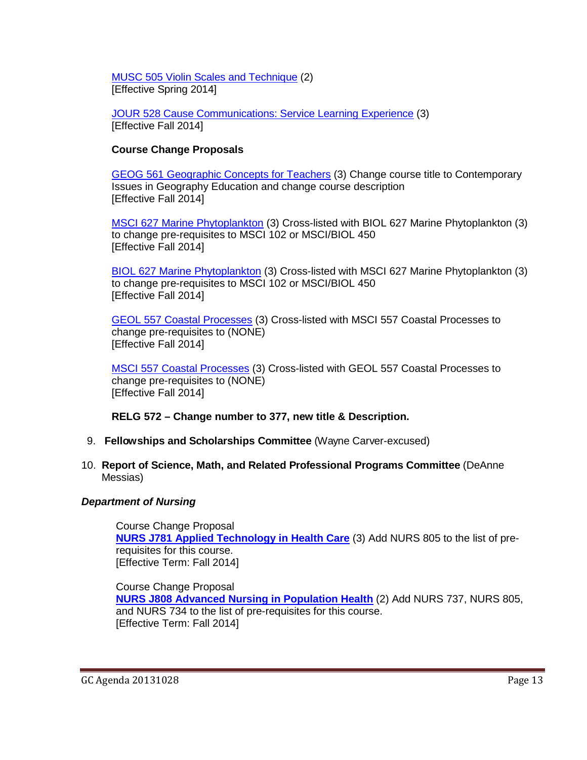MUSC 505 Violin Scales and Technique (2) [Effective Spring 2014]

JOUR 528 Cause Communications: Service Learning Experience (3) [Effective Fall 2014]

### **Course Change Proposals**

GEOG 561 Geographic Concepts for Teachers (3) Change course title to Contemporary Issues in Geography Education and change course description [Effective Fall 2014]

MSCI 627 Marine Phytoplankton (3) Cross-listed with BIOL 627 Marine Phytoplankton (3) to change pre-requisites to MSCI 102 or MSCI/BIOL 450 [Effective Fall 2014]

BIOL 627 Marine Phytoplankton (3) Cross-listed with MSCI 627 Marine Phytoplankton (3) to change pre-requisites to MSCI 102 or MSCI/BIOL 450 [Effective Fall 2014]

GEOL 557 Coastal Processes (3) Cross-listed with MSCI 557 Coastal Processes to change pre-requisites to (NONE) [Effective Fall 2014]

MSCI 557 Coastal Processes (3) Cross-listed with GEOL 557 Coastal Processes to change pre-requisites to (NONE) [Effective Fall 2014]

**RELG 572 – Change number to 377, new title & Description.**

- 9. **Fellowships and Scholarships Committee** (Wayne Carver-excused)
- 10. **Report of Science, Math, and Related Professional Programs Committee** (DeAnne Messias)

### *Department of Nursing*

Course Change Proposal **[NURS J781 Applied Technology in Health Care](http://gradschool.sc.edu/facstaff/gradcouncil/2013/nurs%20j781%20ccp_Redacted.pdf)** (3) Add NURS 805 to the list of prerequisites for this course. [Effective Term: Fall 2014]

Course Change Proposal **[NURS J808 Advanced Nursing in Population Health](http://gradschool.sc.edu/facstaff/gradcouncil/2013/nurs%20j808%20ccp_Redacted.pdf)** (2) Add NURS 737, NURS 805, and NURS 734 to the list of pre-requisites for this course. [Effective Term: Fall 2014]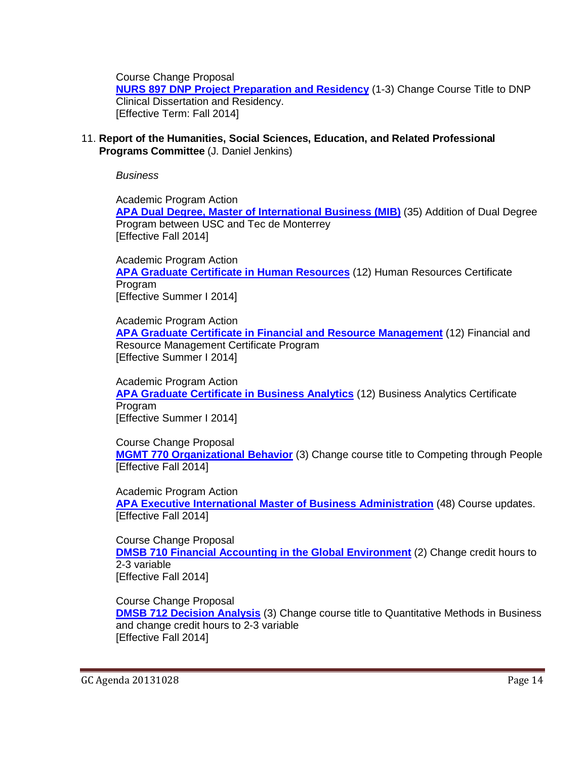Course Change Proposal

**[NURS 897 DNP Project Preparation and Residency](http://gradschool.sc.edu/facstaff/gradcouncil/2013/NURS%20897%20CCP_Redacted.pdf)** (1-3) Change Course Title to DNP Clinical Dissertation and Residency. [Effective Term: Fall 2014]

11. **Report of the Humanities, Social Sciences, Education, and Related Professional Programs Committee** (J. Daniel Jenkins)

*Business*

Academic Program Action **[APA Dual Degree, Master of International Business \(MIB\)](http://gradschool.sc.edu/facstaff/gradcouncil/2013/APA%20Dual%20Degree%20Master%20of%20Intl%20Business-MIB_Redacted.pdf)** (35) Addition of Dual Degree Program between USC and Tec de Monterrey [Effective Fall 2014]

Academic Program Action **[APA Graduate Certificate in Human Resources](http://gradschool.sc.edu/facstaff/gradcouncil/2013/APA%20Grad%20Cert%20HR_Redacted.pdf)** (12) Human Resources Certificate Program [Effective Summer I 2014]

Academic Program Action **[APA Graduate Certificate in Financial and Resource Management](http://gradschool.sc.edu/facstaff/gradcouncil/2013/APA%20Financial%20and%20Resource%20Mgmt.pdf)** (12) Financial and Resource Management Certificate Program [Effective Summer I 2014]

Academic Program Action **[APA Graduate Certificate in Business Analytics](http://gradschool.sc.edu/facstaff/gradcouncil/2013/APA%20Graduate%20Certificate%20in%20Business%20Analytics_Redacted.pdf)** (12) Business Analytics Certificate Program [Effective Summer I 2014]

Course Change Proposal **[MGMT 770 Organizational Behavior](http://gradschool.sc.edu/facstaff/gradcouncil/2013/CCP%20Mgmt%20770%20Organizational%20Behavior_Redacted.pdf)** (3) Change course title to Competing through People [Effective Fall 2014]

Academic Program Action **[APA Executive International Master of Business Administration](http://gradschool.sc.edu/facstaff/gradcouncil/2013/APA%20Executive%20International%20Master%20of%20Business%20Administration_Redacted.pdf)** (48) Course updates. [Effective Fall 2014]

Course Change Proposal **[DMSB 710 Financial Accounting in the Global Environment](http://gradschool.sc.edu/facstaff/gradcouncil/2013/CCP%20DMSB%20710_Redacted.pdf)** (2) Change credit hours to 2-3 variable [Effective Fall 2014]

Course Change Proposal

**[DMSB 712 Decision Analysis](http://gradschool.sc.edu/facstaff/gradcouncil/2013/DMSB%20712%20Decision%20Analysis_Redacted.pdf)** (3) Change course title to Quantitative Methods in Business and change credit hours to 2-3 variable [Effective Fall 2014]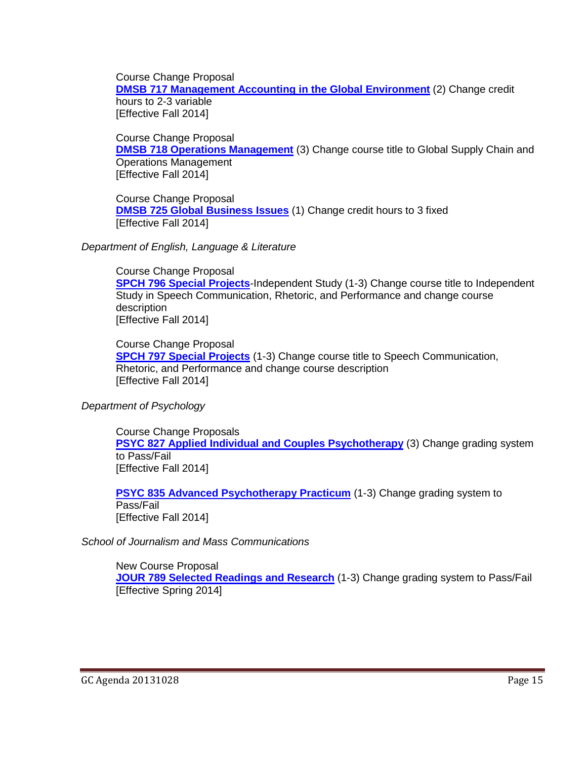Course Change Proposal **[DMSB 717 Management Accounting in the Global Environment](http://gradschool.sc.edu/facstaff/gradcouncil/2013/DMSB%20717_Redacted.pdf)** (2) Change credit hours to 2-3 variable [Effective Fall 2014]

Course Change Proposal **[DMSB 718 Operations Management](http://gradschool.sc.edu/facstaff/gradcouncil/2013/DMSB%20718_Redacted.pdf)** (3) Change course title to Global Supply Chain and Operations Management [Effective Fall 2014]

Course Change Proposal **[DMSB 725 Global Business Issues](http://gradschool.sc.edu/facstaff/gradcouncil/2013/DMSB%20725_Redacted.pdf)** (1) Change credit hours to 3 fixed [Effective Fall 2014]

*Department of English, Language & Literature*

Course Change Proposal **[SPCH 796 Special Projects](http://gradschool.sc.edu/facstaff/gradcouncil/2013/814%20CCP%20SPCH%20796_Redacted.pdf)**-Independent Study (1-3) Change course title to Independent Study in Speech Communication, Rhetoric, and Performance and change course description [Effective Fall 2014]

Course Change Proposal **[SPCH 797 Special Projects](http://gradschool.sc.edu/facstaff/gradcouncil/2013/814%20CCP%20SPCH%20797%20BCH%20JUS_Redacted.pdf)** (1-3) Change course title to Speech Communication, Rhetoric, and Performance and change course description [Effective Fall 2014]

*Department of Psychology*

Course Change Proposals **[PSYC 827 Applied Individual and Couples Psychotherapy](http://gradschool.sc.edu/facstaff/gradcouncil/2013/PSYC%20827%20CCP%20w-new%20syll_Redacted.pdf)** (3) Change grading system to Pass/Fail [Effective Fall 2014]

**[PSYC 835 Advanced Psychotherapy Practicum](http://gradschool.sc.edu/facstaff/gradcouncil/2013/PSYC%20835%20CCP%20w%20new%20syll_Redacted.pdf)** (1-3) Change grading system to Pass/Fail [Effective Fall 2014]

*School of Journalism and Mass Communications*

New Course Proposal **[JOUR 789 Selected Readings and Research](http://gradschool.sc.edu/facstaff/gradcouncil/2013/JOUR%20789%20NCP%207-30-13_Redacted.pdf)** (1-3) Change grading system to Pass/Fail [Effective Spring 2014]